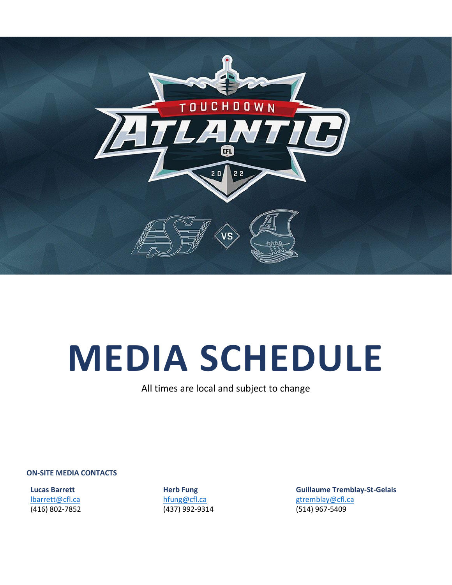

# **MEDIA SCHEDULE**

All times are local and subject to change

**ON-SITE MEDIA CONTACTS**

**Lucas Barrett** [lbarrett@cfl.ca](mailto:lbarrett@cfl.ca) (416) 802-7852 **Herb Fung** [hfung@cfl.ca](mailto:hfung@cfl.ca) (437) 992-9314 **Guillaume Tremblay-St-Gelais** [gtremblay@cfl.ca](mailto:gtremblay@cfl.ca) (514) 967-5409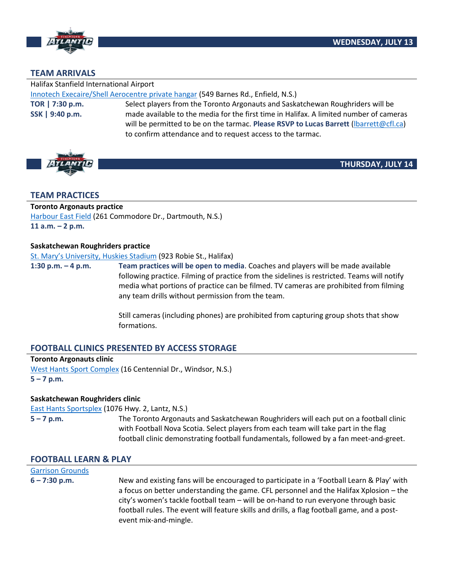

# **TEAM ARRIVALS**

Halifax Stanfield International Airport

[Innotech Execaire/Shell Aerocentre private hangar](https://goo.gl/maps/gwsxTNeppnRV6VwS6) (549 Barnes Rd., Enfield, N.S.)

**TOR | 7:30 p.m. SSK | 9:40 p.m.**

Select players from the Toronto Argonauts and Saskatchewan Roughriders will be made available to the media for the first time in Halifax. A limited number of cameras will be permitted to be on the tarmac. **Please RSVP to Lucas Barrett** [\(lbarrett@cfl.ca\)](mailto:lbarrett@cfl.ca) to confirm attendance and to request access to the tarmac.



**THURSDAY, JULY 14**

# **TEAM PRACTICES**

# **Toronto Argonauts practice**

[Harbour East Field](https://goo.gl/maps/st5yQwkFWQqn3EDn8) (261 Commodore Dr., Dartmouth, N.S.) **11 a.m. – 2 p.m.**

#### **Saskatchewan Roughriders practice**

St. Ma[ry's University, Huskies Stadium](https://goo.gl/maps/tYZqPPVN9zrS1iXz9) (923 Robie St., Halifax)

**1:30 p.m. – 4 p.m. Team practices will be open to media**. Coaches and players will be made available following practice. Filming of practice from the sidelines is restricted. Teams will notify media what portions of practice can be filmed. TV cameras are prohibited from filming any team drills without permission from the team.

> Still cameras (including phones) are prohibited from capturing group shots that show formations.

# **FOOTBALL CLINICS PRESENTED BY ACCESS STORAGE**

**Toronto Argonauts clinic** [West Hants Sport Complex](https://goo.gl/maps/m9yhyP99fDwwgTM98) (16 Centennial Dr., Windsor, N.S.) **5 – 7 p.m.** 

# **Saskatchewan Roughriders clinic**

[East Hants Sportsplex](https://goo.gl/maps/b7qkztfdL4enarhw9) (1076 Hwy. 2, Lantz, N.S.)

**5 – 7 p.m.** The Toronto Argonauts and Saskatchewan Roughriders will each put on a football clinic with Football Nova Scotia. Select players from each team will take part in the flag football clinic demonstrating football fundamentals, followed by a fan meet-and-greet.

# **FOOTBALL LEARN & PLAY**

# [Garrison Grounds](https://www.google.com/maps/place/Garrison+Grounds/@44.645216,-63.5832138,17z/data=!3m1!4b1!4m5!3m4!1s0x4b5a223290ef651d:0x740f1b7ff2703324!8m2!3d44.645216!4d-63.5810251)

**6 – 7:30 p.m.** New and existing fans will be encouraged to participate in a 'Football Learn & Play' with a focus on better understanding the game. CFL personnel and the Halifax Xplosion – the city's women's tackle football team – will be on-hand to run everyone through basic football rules. The event will feature skills and drills, a flag football game, and a postevent mix-and-mingle.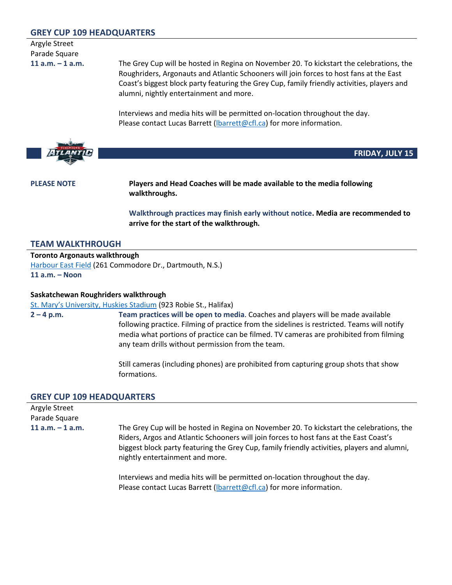# **GREY CUP 109 HEADQUARTERS**

Argyle Street Parade Square

**11 a.m. – 1 a.m.** The Grey Cup will be hosted in Regina on November 20. To kickstart the celebrations, the Roughriders, Argonauts and Atlantic Schooners will join forces to host fans at the East Coast's biggest block party featuring the Grey Cup, family friendly activities, players and alumni, nightly entertainment and more.

> Interviews and media hits will be permitted on-location throughout the day. Please contact Lucas Barrett (Ibarrett@cfl.ca) for more information.



**FRIDAY, JULY 15**

**PLEASE NOTE Players and Head Coaches will be made available to the media following walkthroughs.**

> **Walkthrough practices may finish early without notice. Media are recommended to arrive for the start of the walkthrough.**

# **TEAM WALKTHROUGH**

**Toronto Argonauts walkthrough** [Harbour East Field](https://goo.gl/maps/st5yQwkFWQqn3EDn8) (261 Commodore Dr., Dartmouth, N.S.) **11 a.m. – Noon**

#### **Saskatchewan Roughriders walkthrough**

[St. Mary's University, Huskies Stadium](https://goo.gl/maps/tYZqPPVN9zrS1iXz9) (923 Robie St., Halifax)

**2 – 4 p.m. Team practices will be open to media**. Coaches and players will be made available following practice. Filming of practice from the sidelines is restricted. Teams will notify media what portions of practice can be filmed. TV cameras are prohibited from filming any team drills without permission from the team.

> Still cameras (including phones) are prohibited from capturing group shots that show formations.

#### **GREY CUP 109 HEADQUARTERS**

| Argyle Street<br>Parade Square |                                                                                                                                                                                                                                                                                                                      |
|--------------------------------|----------------------------------------------------------------------------------------------------------------------------------------------------------------------------------------------------------------------------------------------------------------------------------------------------------------------|
| $11$ a.m. $-1$ a.m.            | The Grey Cup will be hosted in Regina on November 20. To kickstart the celebrations, the<br>Riders, Argos and Atlantic Schooners will join forces to host fans at the East Coast's<br>biggest block party featuring the Grey Cup, family friendly activities, players and alumni,<br>nightly entertainment and more. |
|                                | Interviews and media hits will be permitted on-location throughout the day.<br>Please contact Lucas Barrett (Ibarrett@cfl.ca) for more information.                                                                                                                                                                  |